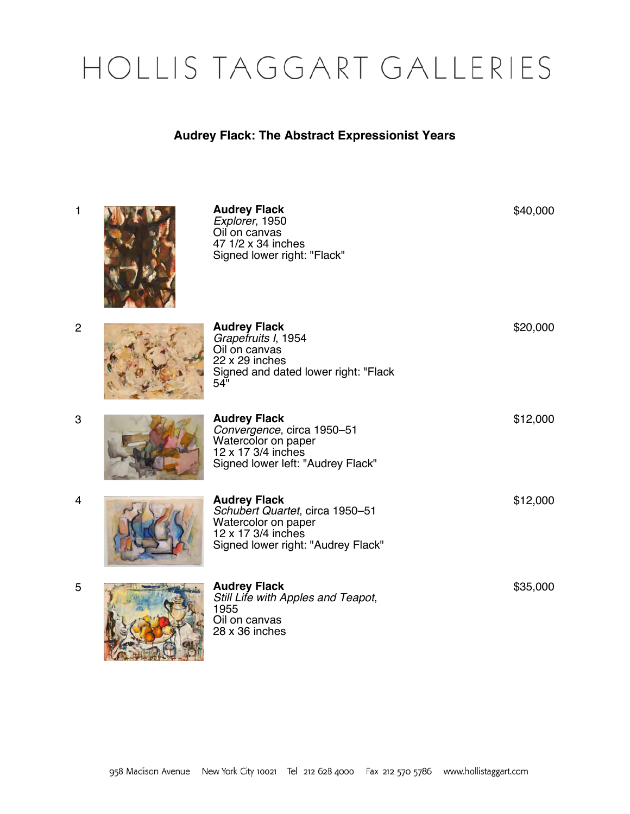## HOLLIS TAGGART GALLERIES

## **Audrey Flack: The Abstract Expressionist Years**

| $\mathbf{1}$   | <b>Audrey Flack</b><br>Explorer, 1950<br>Oil on canvas<br>47 1/2 x 34 inches<br>Signed lower right: "Flack"                               | \$40,000 |
|----------------|-------------------------------------------------------------------------------------------------------------------------------------------|----------|
| $\overline{2}$ | <b>Audrey Flack</b><br>Grapefruits I, 1954<br>Oil on canvas<br>$22 \times 29$ inches<br>Signed and dated lower right: "Flack<br>54"       | \$20,000 |
| 3              | <b>Audrey Flack</b><br>Convergence, circa 1950-51<br>Watercolor on paper<br>12 x 17 3/4 inches<br>Signed lower left: "Audrey Flack"       | \$12,000 |
| 4              | <b>Audrey Flack</b><br>Schubert Quartet, circa 1950-51<br>Watercolor on paper<br>12 x 17 3/4 inches<br>Signed lower right: "Audrey Flack" | \$12,000 |
| 5              | <b>Audrey Flack</b><br>Still Life with Apples and Teapot,<br>1955<br>Oil on canvas<br>28 x 36 inches                                      | \$35,000 |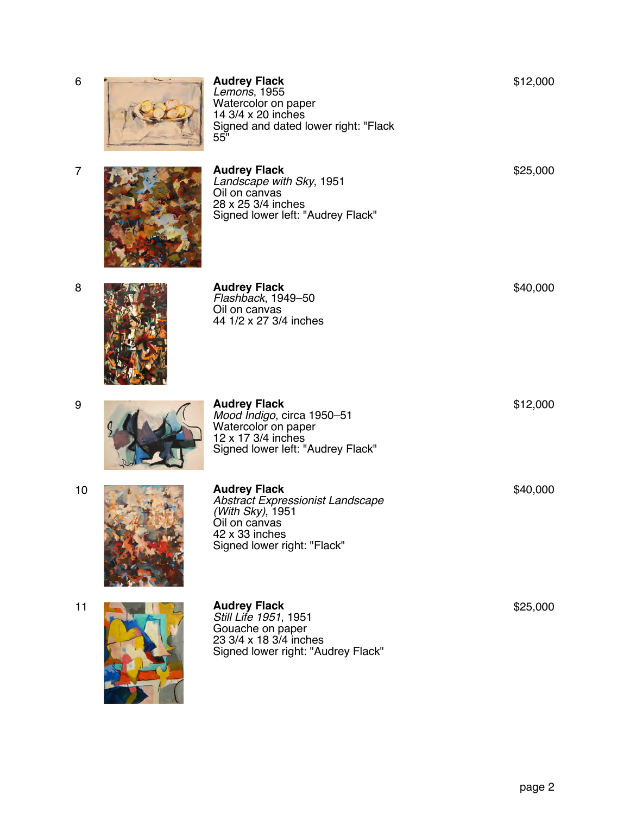| 6              | <b>Audrey Flack</b><br>Lemons, 1955<br>Watercolor on paper<br>14 3/4 x 20 inches<br>Signed and dated lower right: "Flack<br>55"               | \$12,000 |
|----------------|-----------------------------------------------------------------------------------------------------------------------------------------------|----------|
| $\overline{7}$ | <b>Audrey Flack</b><br>Landscape with Sky, 1951<br>Oil on canvas<br>28 x 25 3/4 inches<br>Signed lower left: "Audrey Flack"                   | \$25,000 |
| 8              | <b>Audrey Flack</b><br>Flashback, 1949-50<br>Oil on canvas<br>44 1/2 x 27 3/4 inches                                                          | \$40,000 |
| 9              | <b>Audrey Flack</b><br>Mood Indigo, circa 1950-51<br>Watercolor on paper<br>12 x 17 3/4 inches<br>Signed lower left: "Audrey Flack"           | \$12,000 |
| 10             | <b>Audrey Flack</b><br>Abstract Expressionist Landscape<br>(With Sky), 1951<br>Oil on canvas<br>42 x 33 inches<br>Signed lower right: "Flack" | \$40,000 |
| 11             | <b>Audrey Flack</b><br>Still Life 1951, 1951<br>Gouache on paper<br>23 3/4 x 18 3/4 inches<br>Signed lower right: "Audrey Flack"              | \$25,000 |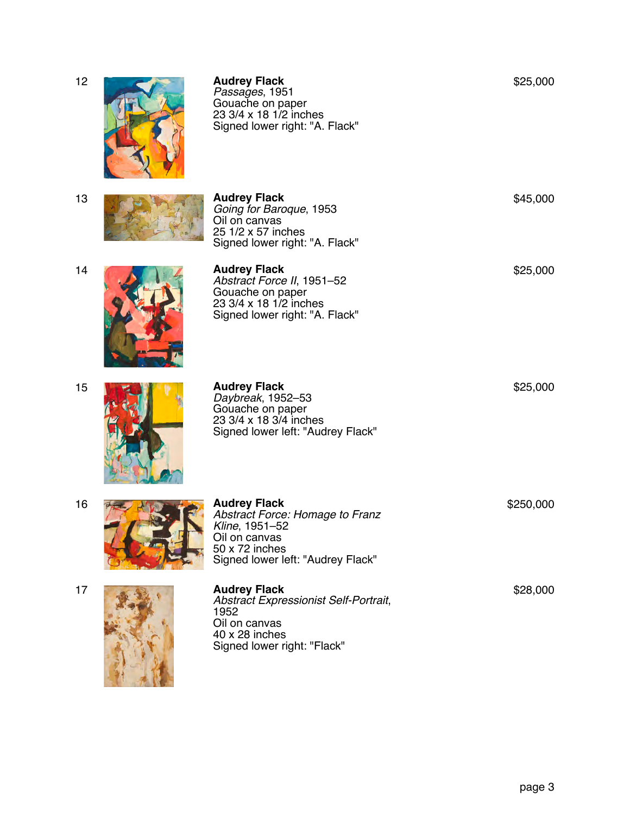| 12 | <b>Audrey Flack</b><br>Passages, 1951<br>Gouache on paper<br>23 3/4 x 18 1/2 inches<br>Signed lower right: "A. Flack"                            | \$25,000  |
|----|--------------------------------------------------------------------------------------------------------------------------------------------------|-----------|
| 13 | <b>Audrey Flack</b><br>Going for Baroque, 1953<br>Oil on canvas<br>25 1/2 x 57 inches<br>Signed lower right: "A. Flack"                          | \$45,000  |
| 14 | <b>Audrey Flack</b><br>Abstract Force II, 1951-52<br>Gouache on paper<br>23 3/4 x 18 1/2 inches<br>Signed lower right: "A. Flack"                | \$25,000  |
| 15 | <b>Audrey Flack</b><br>Daybreak, 1952-53<br>Gouache on paper<br>23 3/4 x 18 3/4 inches<br>Signed lower left: "Audrey Flack"                      | \$25,000  |
| 16 | <b>Audrey Flack</b><br>Abstract Force: Homage to Franz<br>Kline, 1951-52<br>Oil on canvas<br>50 x 72 inches<br>Signed lower left: "Audrey Flack" | \$250,000 |
| 17 | <b>Audrey Flack</b><br>Abstract Expressionist Self-Portrait,<br>1952<br>Oil on canvas<br>40 x 28 inches<br>Signed lower right: "Flack"           | \$28,000  |

page 3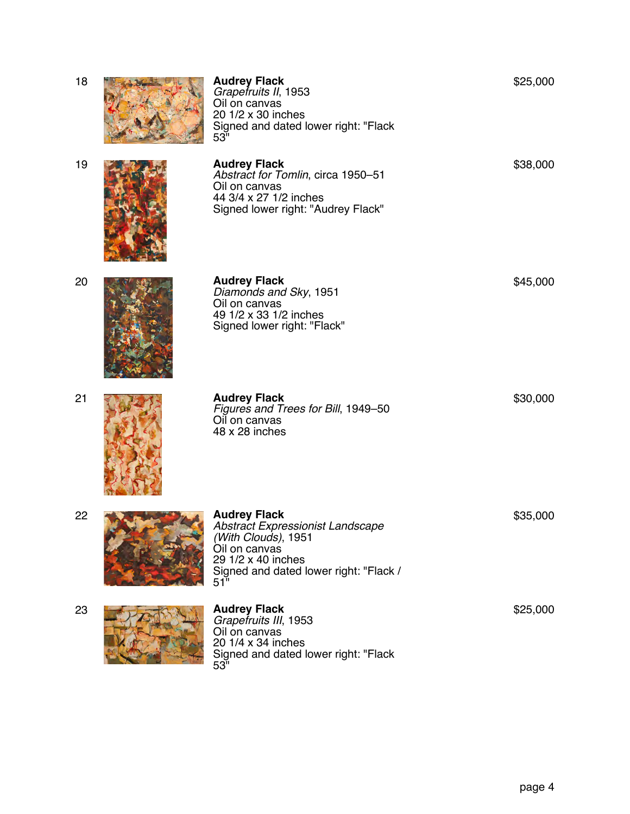| 18 | <b>Audrey Flack</b><br>Grapetruits II, 1953<br>Oil on canvas<br>20 1/2 x 30 inches<br>Signed and dated lower right: "Flack<br>53"                                      | \$25,000 |
|----|------------------------------------------------------------------------------------------------------------------------------------------------------------------------|----------|
| 19 | <b>Audrey Flack</b><br>Abstract for Tomlin, circa 1950-51<br>Oil on canvas<br>44 3/4 x 27 1/2 inches<br>Signed lower right: "Audrey Flack"                             | \$38,000 |
| 20 | <b>Audrey Flack</b><br>Diamonds and Sky, 1951<br>Oil on canvas<br>49 1/2 x 33 1/2 inches<br>Signed lower right: "Flack"                                                | \$45,000 |
| 21 | <b>Audrey Flack</b><br>Figures and Trees for Bill, 1949-50<br>Oil on canvas<br>48 x 28 inches                                                                          | \$30,000 |
| 22 | <b>Audrey Flack</b><br>Abstract Expressionist Landscape<br>(With Clouḋs), 1951<br>Oil on canvas<br>29 1/2 x 40 inches<br>Signed and dated lower right: "Flack /<br>51" | \$35,000 |
| 23 | <b>Audrey Flack</b><br>Grapefruits III, 1953<br>Oil on canvas<br>20 1/4 x 34 inches<br>Signed and dated lower right: "Flack<br>53"                                     | \$25,000 |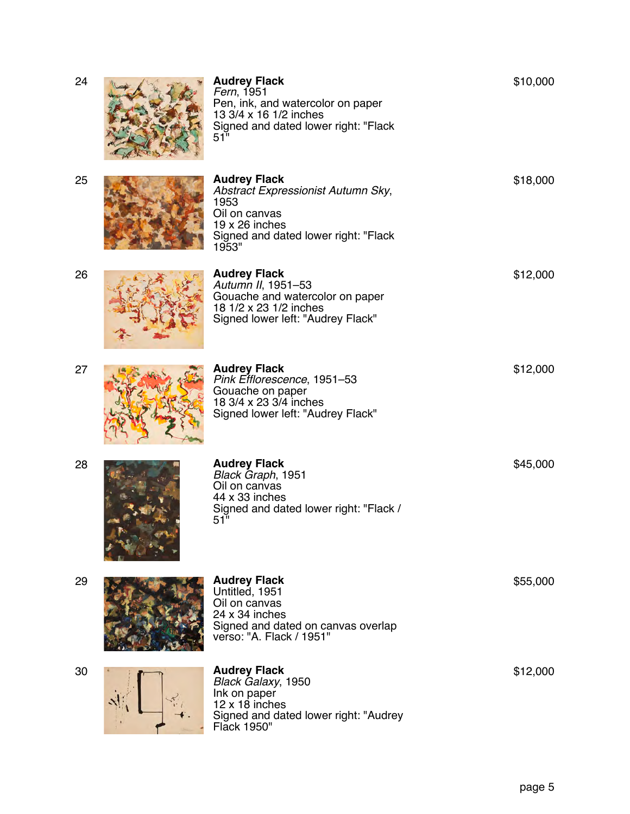| 24 | <b>Audrey Flack</b><br>Fern, 1951<br>Pen, ink, and watercolor on paper<br>13 3/4 x 16 1/2 inches<br>Signed and dated lower right: "Flack<br>51"              | \$10,000 |
|----|--------------------------------------------------------------------------------------------------------------------------------------------------------------|----------|
| 25 | <b>Audrey Flack</b><br>Abstract Expressionist Autumn Sky,<br>1953<br>Oil on canvas<br>$19 \times 26$ inches<br>Signed and dated lower right: "Flack<br>1953" | \$18,000 |
| 26 | <b>Audrey Flack</b><br>Autumn II, 1951-53<br>Gouache and watercolor on paper<br>18 1/2 x 23 1/2 inches<br>Signed lower left: "Audrey Flack"                  | \$12,000 |
| 27 | <b>Audrey Flack</b><br>Pink Efflorescence, 1951-53<br>Gouache on paper<br>18 3/4 x 23 3/4 inches<br>Signed lower left: "Audrey Flack"                        | \$12,000 |
| 28 | <b>Audrey Flack</b><br>Black Graph, 1951<br>Oil on canvas<br>44 x 33 inches<br>Signed and dated lower right: "Flack /<br>51"                                 | \$45,000 |
| 29 | <b>Audrey Flack</b><br>Untitled, 1951<br>Oil on canvas<br>$24 \times 34$ inches<br>Signed and dated on canvas overlap<br>verso: "A. Flack / 1951"            | \$55,000 |
| 30 | <b>Audrey Flack</b><br>Black Galaxy, 1950<br>Ink on paper<br>$12 \times 18$ inches<br>Signed and dated lower right: "Audrey<br>Flack 1950"                   | \$12,000 |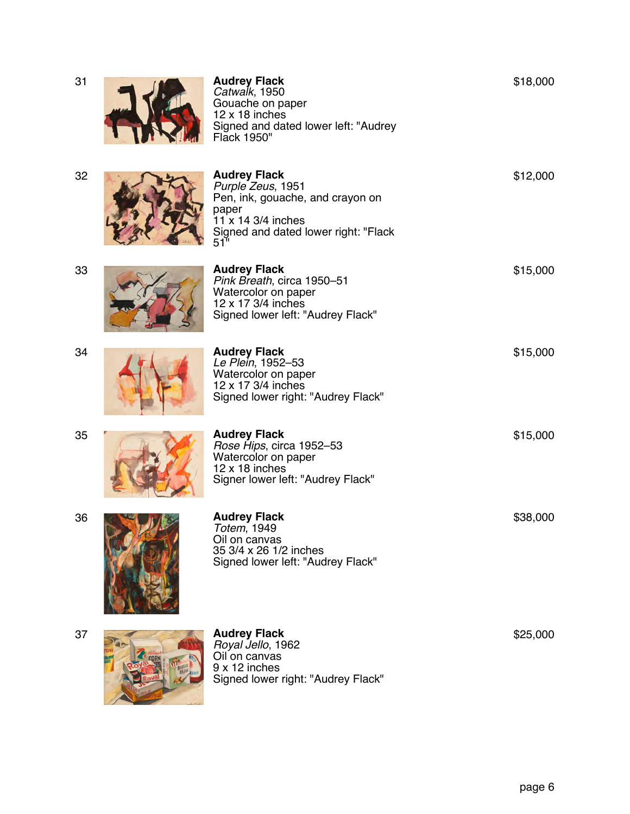| 31 | <b>Audrey Flack</b><br>Catwalk, 1950<br>Gouache on paper<br>$12 \times 18$ inches<br>Signed and dated lower left: "Audrey<br>Flack 1950"                                 | \$18,000 |
|----|--------------------------------------------------------------------------------------------------------------------------------------------------------------------------|----------|
| 32 | <b>Audrey Flack</b><br>Purple Zeus, 1951<br>Pen, ink, gouache, and crayon on<br>paper<br>11 x 14 3/4 inches<br>Signed and dated lower right: "Flack<br>$51$ <sup>"</sup> | \$12,000 |
| 33 | <b>Audrey Flack</b><br>Pink Breath, circa 1950-51<br>Watercolor on paper<br>12 x 17 3/4 inches<br>Signed lower left: "Audrey Flack"                                      | \$15,000 |
| 34 | <b>Audrey Flack</b><br>Le Plein, 1952-53<br>Watercolor on paper<br>12 x 17 3/4 inches<br>Signed lower right: "Audrey Flack"                                              | \$15,000 |
| 35 | <b>Audrey Flack</b><br>Rose Hips, circa 1952-53<br>Watercolor on paper<br>$12 \times 18$ inches<br>Signer lower left: "Audrey Flack"                                     | \$15,000 |
| 36 | <b>Audrey Flack</b><br>Totem, 1949<br>Oil on canvas<br>35 3/4 x 26 1/2 inches<br>Signed lower left: "Audrey Flack"                                                       | \$38,000 |
| 37 | <b>Audrey Flack</b><br>Royal Jello, 1962<br>Oil on canvas<br>9 x 12 inches<br>Signed lower right: "Audrey Flack"                                                         | \$25,000 |